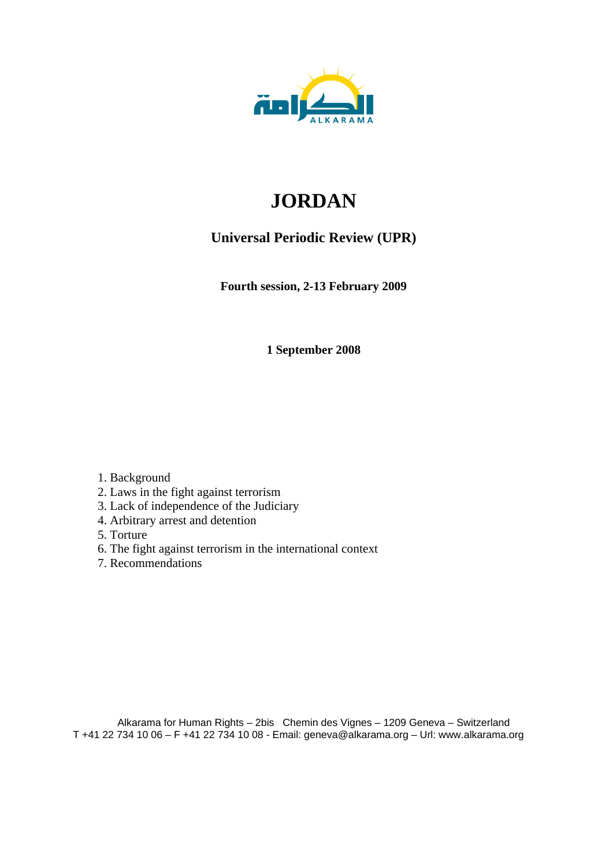

# **JORDAN**

# **Universal Periodic Review (UPR)**

**Fourth session, 2-13 February 2009** 

**1 September 2008** 

1. Background

- 2. Laws in the fight against terrorism
- 3. Lack of independence of the Judiciary
- 4. Arbitrary arrest and detention
- 5. Torture
- 6. The fight against terrorism in the international context
- 7. Recommendations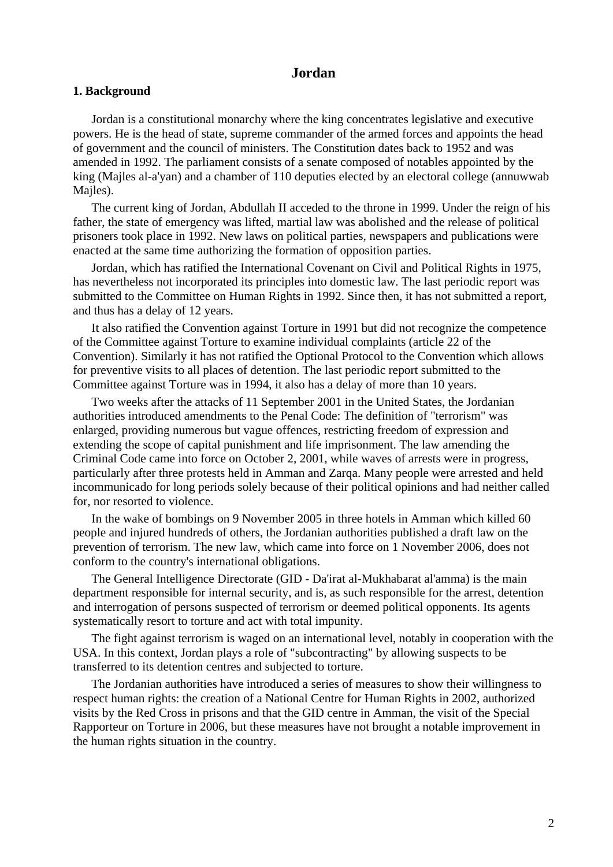# **Jordan**

#### **1. Background**

Jordan is a constitutional monarchy where the king concentrates legislative and executive powers. He is the head of state, supreme commander of the armed forces and appoints the head of government and the council of ministers. The Constitution dates back to 1952 and was amended in 1992. The parliament consists of a senate composed of notables appointed by the king (Majles al-a'yan) and a chamber of 110 deputies elected by an electoral college (annuwwab Majles).

The current king of Jordan, Abdullah II acceded to the throne in 1999. Under the reign of his father, the state of emergency was lifted, martial law was abolished and the release of political prisoners took place in 1992. New laws on political parties, newspapers and publications were enacted at the same time authorizing the formation of opposition parties.

Jordan, which has ratified the International Covenant on Civil and Political Rights in 1975, has nevertheless not incorporated its principles into domestic law. The last periodic report was submitted to the Committee on Human Rights in 1992. Since then, it has not submitted a report, and thus has a delay of 12 years.

It also ratified the Convention against Torture in 1991 but did not recognize the competence of the Committee against Torture to examine individual complaints (article 22 of the Convention). Similarly it has not ratified the Optional Protocol to the Convention which allows for preventive visits to all places of detention. The last periodic report submitted to the Committee against Torture was in 1994, it also has a delay of more than 10 years.

Two weeks after the attacks of 11 September 2001 in the United States, the Jordanian authorities introduced amendments to the Penal Code: The definition of "terrorism" was enlarged, providing numerous but vague offences, restricting freedom of expression and extending the scope of capital punishment and life imprisonment. The law amending the Criminal Code came into force on October 2, 2001, while waves of arrests were in progress, particularly after three protests held in Amman and Zarqa. Many people were arrested and held incommunicado for long periods solely because of their political opinions and had neither called for, nor resorted to violence.

In the wake of bombings on 9 November 2005 in three hotels in Amman which killed 60 people and injured hundreds of others, the Jordanian authorities published a draft law on the prevention of terrorism. The new law, which came into force on 1 November 2006, does not conform to the country's international obligations.

The General Intelligence Directorate (GID - Da'irat al-Mukhabarat al'amma) is the main department responsible for internal security, and is, as such responsible for the arrest, detention and interrogation of persons suspected of terrorism or deemed political opponents. Its agents systematically resort to torture and act with total impunity.

The fight against terrorism is waged on an international level, notably in cooperation with the USA. In this context, Jordan plays a role of "subcontracting" by allowing suspects to be transferred to its detention centres and subjected to torture.

The Jordanian authorities have introduced a series of measures to show their willingness to respect human rights: the creation of a National Centre for Human Rights in 2002, authorized visits by the Red Cross in prisons and that the GID centre in Amman, the visit of the Special Rapporteur on Torture in 2006, but these measures have not brought a notable improvement in the human rights situation in the country.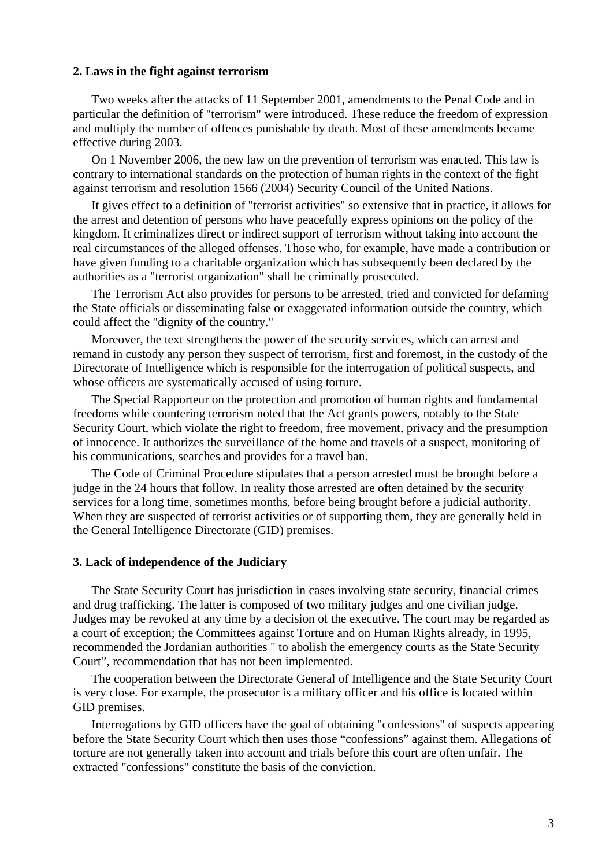#### **2. Laws in the fight against terrorism**

Two weeks after the attacks of 11 September 2001, amendments to the Penal Code and in particular the definition of "terrorism" were introduced. These reduce the freedom of expression and multiply the number of offences punishable by death. Most of these amendments became effective during 2003.

On 1 November 2006, the new law on the prevention of terrorism was enacted. This law is contrary to international standards on the protection of human rights in the context of the fight against terrorism and resolution 1566 (2004) Security Council of the United Nations.

It gives effect to a definition of "terrorist activities" so extensive that in practice, it allows for the arrest and detention of persons who have peacefully express opinions on the policy of the kingdom. It criminalizes direct or indirect support of terrorism without taking into account the real circumstances of the alleged offenses. Those who, for example, have made a contribution or have given funding to a charitable organization which has subsequently been declared by the authorities as a "terrorist organization" shall be criminally prosecuted.

The Terrorism Act also provides for persons to be arrested, tried and convicted for defaming the State officials or disseminating false or exaggerated information outside the country, which could affect the "dignity of the country."

Moreover, the text strengthens the power of the security services, which can arrest and remand in custody any person they suspect of terrorism, first and foremost, in the custody of the Directorate of Intelligence which is responsible for the interrogation of political suspects, and whose officers are systematically accused of using torture.

The Special Rapporteur on the protection and promotion of human rights and fundamental freedoms while countering terrorism noted that the Act grants powers, notably to the State Security Court, which violate the right to freedom, free movement, privacy and the presumption of innocence. It authorizes the surveillance of the home and travels of a suspect, monitoring of his communications, searches and provides for a travel ban.

The Code of Criminal Procedure stipulates that a person arrested must be brought before a judge in the 24 hours that follow. In reality those arrested are often detained by the security services for a long time, sometimes months, before being brought before a judicial authority. When they are suspected of terrorist activities or of supporting them, they are generally held in the General Intelligence Directorate (GID) premises.

### **3. Lack of independence of the Judiciary**

The State Security Court has jurisdiction in cases involving state security, financial crimes and drug trafficking. The latter is composed of two military judges and one civilian judge. Judges may be revoked at any time by a decision of the executive. The court may be regarded as a court of exception; the Committees against Torture and on Human Rights already, in 1995, recommended the Jordanian authorities " to abolish the emergency courts as the State Security Court", recommendation that has not been implemented.

The cooperation between the Directorate General of Intelligence and the State Security Court is very close. For example, the prosecutor is a military officer and his office is located within GID premises.

Interrogations by GID officers have the goal of obtaining "confessions" of suspects appearing before the State Security Court which then uses those "confessions" against them. Allegations of torture are not generally taken into account and trials before this court are often unfair. The extracted "confessions" constitute the basis of the conviction.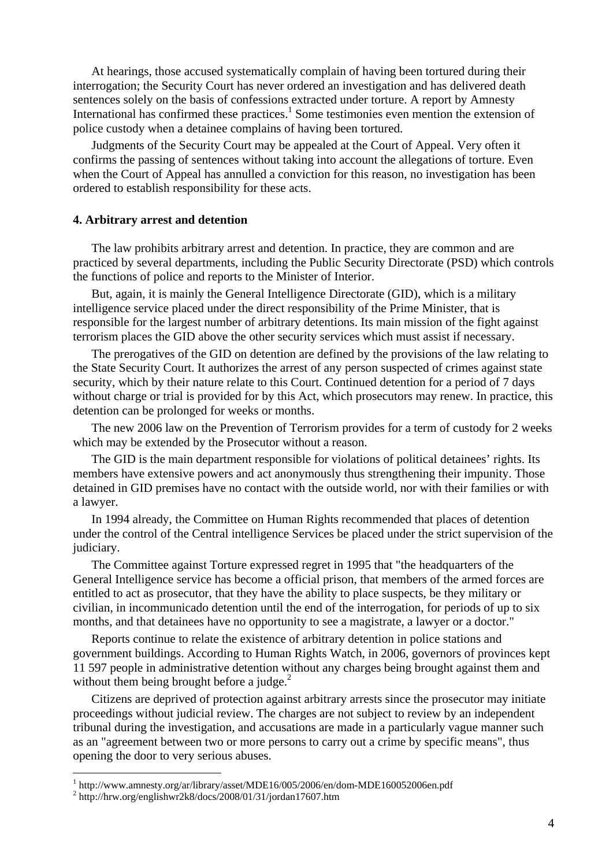At hearings, those accused systematically complain of having been tortured during their interrogation; the Security Court has never ordered an investigation and has delivered death sentences solely on the basis of confessions extracted under torture. A report by Amnesty International has confirmed these practices.<sup>1</sup> Some testimonies even mention the extension of police custody when a detainee complains of having been tortured.

Judgments of the Security Court may be appealed at the Court of Appeal. Very often it confirms the passing of sentences without taking into account the allegations of torture. Even when the Court of Appeal has annulled a conviction for this reason, no investigation has been ordered to establish responsibility for these acts.

#### **4. Arbitrary arrest and detention**

The law prohibits arbitrary arrest and detention. In practice, they are common and are practiced by several departments, including the Public Security Directorate (PSD) which controls the functions of police and reports to the Minister of Interior.

But, again, it is mainly the General Intelligence Directorate (GID), which is a military intelligence service placed under the direct responsibility of the Prime Minister, that is responsible for the largest number of arbitrary detentions. Its main mission of the fight against terrorism places the GID above the other security services which must assist if necessary.

The prerogatives of the GID on detention are defined by the provisions of the law relating to the State Security Court. It authorizes the arrest of any person suspected of crimes against state security, which by their nature relate to this Court. Continued detention for a period of 7 days without charge or trial is provided for by this Act, which prosecutors may renew. In practice, this detention can be prolonged for weeks or months.

The new 2006 law on the Prevention of Terrorism provides for a term of custody for 2 weeks which may be extended by the Prosecutor without a reason.

The GID is the main department responsible for violations of political detainees' rights. Its members have extensive powers and act anonymously thus strengthening their impunity. Those detained in GID premises have no contact with the outside world, nor with their families or with a lawyer.

In 1994 already, the Committee on Human Rights recommended that places of detention under the control of the Central intelligence Services be placed under the strict supervision of the judiciary.

The Committee against Torture expressed regret in 1995 that "the headquarters of the General Intelligence service has become a official prison, that members of the armed forces are entitled to act as prosecutor, that they have the ability to place suspects, be they military or civilian, in incommunicado detention until the end of the interrogation, for periods of up to six months, and that detainees have no opportunity to see a magistrate, a lawyer or a doctor."

Reports continue to relate the existence of arbitrary detention in police stations and government buildings. According to Human Rights Watch, in 2006, governors of provinces kept 11 597 people in administrative detention without any charges being brought against them and without them being brought before a judge. $^{2}$ 

Citizens are deprived of protection against arbitrary arrests since the prosecutor may initiate proceedings without judicial review. The charges are not subject to review by an independent tribunal during the investigation, and accusations are made in a particularly vague manner such as an "agreement between two or more persons to carry out a crime by specific means", thus opening the door to very serious abuses.

1

<sup>&</sup>lt;sup>1</sup> http://www.amnesty.org/ar/library/asset/MDE16/005/2006/en/dom-MDE160052006en.pdf

<sup>2</sup> http://hrw.org/englishwr2k8/docs/2008/01/31/jordan17607.htm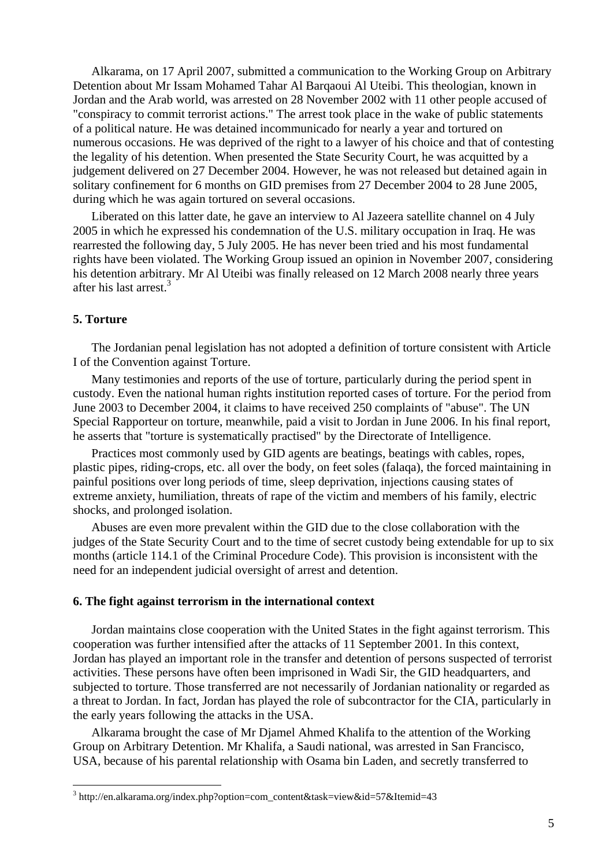Alkarama, on 17 April 2007, submitted a communication to the Working Group on Arbitrary Detention about Mr Issam Mohamed Tahar Al Barqaoui Al Uteibi. This theologian, known in Jordan and the Arab world, was arrested on 28 November 2002 with 11 other people accused of "conspiracy to commit terrorist actions." The arrest took place in the wake of public statements of a political nature. He was detained incommunicado for nearly a year and tortured on numerous occasions. He was deprived of the right to a lawyer of his choice and that of contesting the legality of his detention. When presented the State Security Court, he was acquitted by a judgement delivered on 27 December 2004. However, he was not released but detained again in solitary confinement for 6 months on GID premises from 27 December 2004 to 28 June 2005, during which he was again tortured on several occasions.

Liberated on this latter date, he gave an interview to Al Jazeera satellite channel on 4 July 2005 in which he expressed his condemnation of the U.S. military occupation in Iraq. He was rearrested the following day, 5 July 2005. He has never been tried and his most fundamental rights have been violated. The Working Group issued an opinion in November 2007, considering his detention arbitrary. Mr Al Uteibi was finally released on 12 March 2008 nearly three years after his last arrest.<sup>3</sup>

#### **5. Torture**

1

The Jordanian penal legislation has not adopted a definition of torture consistent with Article I of the Convention against Torture.

Many testimonies and reports of the use of torture, particularly during the period spent in custody. Even the national human rights institution reported cases of torture. For the period from June 2003 to December 2004, it claims to have received 250 complaints of "abuse". The UN Special Rapporteur on torture, meanwhile, paid a visit to Jordan in June 2006. In his final report, he asserts that "torture is systematically practised" by the Directorate of Intelligence.

Practices most commonly used by GID agents are beatings, beatings with cables, ropes, plastic pipes, riding-crops, etc. all over the body, on feet soles (falaqa), the forced maintaining in painful positions over long periods of time, sleep deprivation, injections causing states of extreme anxiety, humiliation, threats of rape of the victim and members of his family, electric shocks, and prolonged isolation.

Abuses are even more prevalent within the GID due to the close collaboration with the judges of the State Security Court and to the time of secret custody being extendable for up to six months (article 114.1 of the Criminal Procedure Code). This provision is inconsistent with the need for an independent judicial oversight of arrest and detention.

# **6. The fight against terrorism in the international context**

Jordan maintains close cooperation with the United States in the fight against terrorism. This cooperation was further intensified after the attacks of 11 September 2001. In this context, Jordan has played an important role in the transfer and detention of persons suspected of terrorist activities. These persons have often been imprisoned in Wadi Sir, the GID headquarters, and subjected to torture. Those transferred are not necessarily of Jordanian nationality or regarded as a threat to Jordan. In fact, Jordan has played the role of subcontractor for the CIA, particularly in the early years following the attacks in the USA.

Alkarama brought the case of Mr Djamel Ahmed Khalifa to the attention of the Working Group on Arbitrary Detention. Mr Khalifa, a Saudi national, was arrested in San Francisco, USA, because of his parental relationship with Osama bin Laden, and secretly transferred to

<sup>&</sup>lt;sup>3</sup> http://en.alkarama.org/index.php?option=com\_content&task=view&id=57&Itemid=43